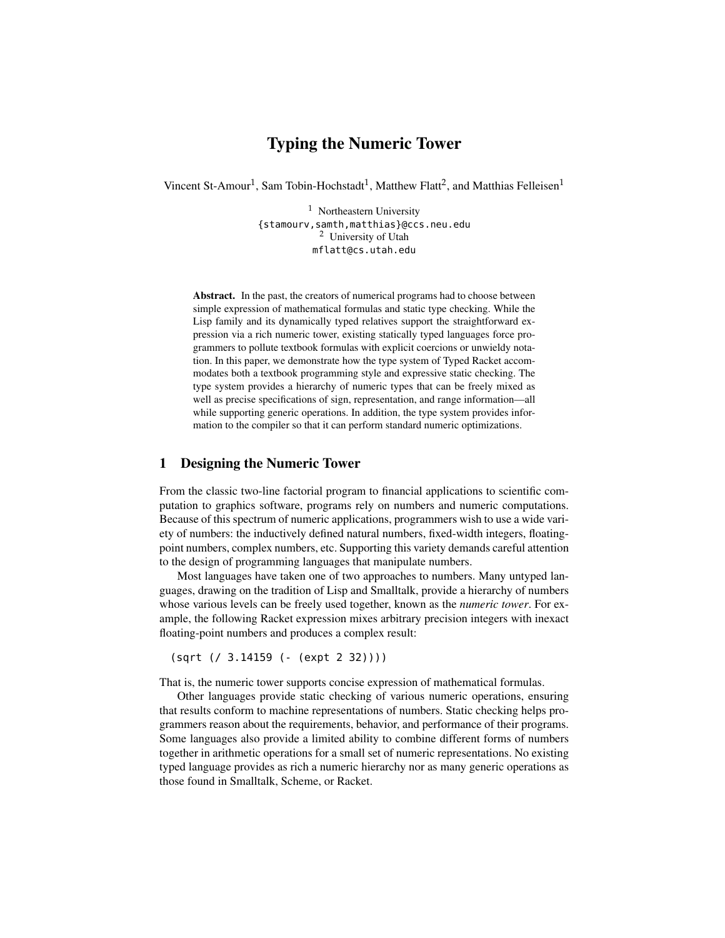# Typing the Numeric Tower

Vincent St-Amour<sup>1</sup>, Sam Tobin-Hochstadt<sup>1</sup>, Matthew Flatt<sup>2</sup>, and Matthias Felleisen<sup>1</sup>

<sup>1</sup> Northeastern University {stamourv,samth,matthias}@ccs.neu.edu <sup>2</sup> University of Utah mflatt@cs.utah.edu

Abstract. In the past, the creators of numerical programs had to choose between simple expression of mathematical formulas and static type checking. While the Lisp family and its dynamically typed relatives support the straightforward expression via a rich numeric tower, existing statically typed languages force programmers to pollute textbook formulas with explicit coercions or unwieldy notation. In this paper, we demonstrate how the type system of Typed Racket accommodates both a textbook programming style and expressive static checking. The type system provides a hierarchy of numeric types that can be freely mixed as well as precise specifications of sign, representation, and range information—all while supporting generic operations. In addition, the type system provides information to the compiler so that it can perform standard numeric optimizations.

## 1 Designing the Numeric Tower

From the classic two-line factorial program to financial applications to scientific computation to graphics software, programs rely on numbers and numeric computations. Because of this spectrum of numeric applications, programmers wish to use a wide variety of numbers: the inductively defined natural numbers, fixed-width integers, floatingpoint numbers, complex numbers, etc. Supporting this variety demands careful attention to the design of programming languages that manipulate numbers.

Most languages have taken one of two approaches to numbers. Many untyped languages, drawing on the tradition of Lisp and Smalltalk, provide a hierarchy of numbers whose various levels can be freely used together, known as the *numeric tower*. For example, the following Racket expression mixes arbitrary precision integers with inexact floating-point numbers and produces a complex result:

(sqrt (/ 3.14159 (- (expt 2 32))))

That is, the numeric tower supports concise expression of mathematical formulas.

Other languages provide static checking of various numeric operations, ensuring that results conform to machine representations of numbers. Static checking helps programmers reason about the requirements, behavior, and performance of their programs. Some languages also provide a limited ability to combine different forms of numbers together in arithmetic operations for a small set of numeric representations. No existing typed language provides as rich a numeric hierarchy nor as many generic operations as those found in Smalltalk, Scheme, or Racket.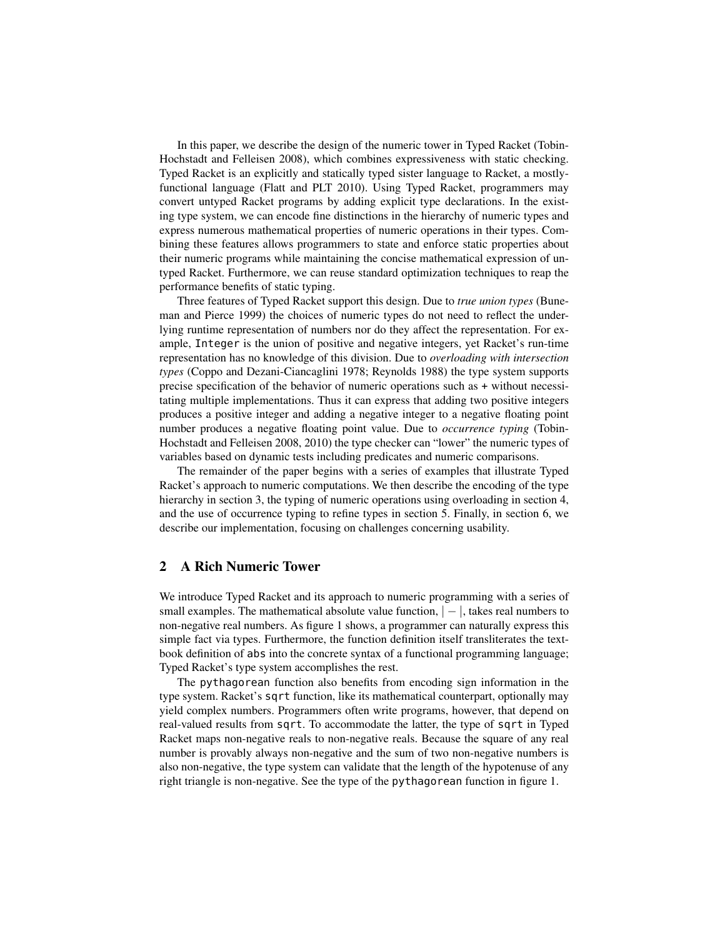In this paper, we describe the design of the numeric tower in Typed Racket (Tobin-Hochstadt and Felleisen 2008), which combines expressiveness with static checking. Typed Racket is an explicitly and statically typed sister language to Racket, a mostlyfunctional language (Flatt and PLT 2010). Using Typed Racket, programmers may convert untyped Racket programs by adding explicit type declarations. In the existing type system, we can encode fine distinctions in the hierarchy of numeric types and express numerous mathematical properties of numeric operations in their types. Combining these features allows programmers to state and enforce static properties about their numeric programs while maintaining the concise mathematical expression of untyped Racket. Furthermore, we can reuse standard optimization techniques to reap the performance benefits of static typing.

Three features of Typed Racket support this design. Due to *true union types* (Buneman and Pierce 1999) the choices of numeric types do not need to reflect the underlying runtime representation of numbers nor do they affect the representation. For example, Integer is the union of positive and negative integers, yet Racket's run-time representation has no knowledge of this division. Due to *overloading with intersection types* (Coppo and Dezani-Ciancaglini 1978; Reynolds 1988) the type system supports precise specification of the behavior of numeric operations such as + without necessitating multiple implementations. Thus it can express that adding two positive integers produces a positive integer and adding a negative integer to a negative floating point number produces a negative floating point value. Due to *occurrence typing* (Tobin-Hochstadt and Felleisen 2008, 2010) the type checker can "lower" the numeric types of variables based on dynamic tests including predicates and numeric comparisons.

The remainder of the paper begins with a series of examples that illustrate Typed Racket's approach to numeric computations. We then describe the encoding of the type hierarchy in section 3, the typing of numeric operations using overloading in section 4, and the use of occurrence typing to refine types in section 5. Finally, in section 6, we describe our implementation, focusing on challenges concerning usability.

## 2 A Rich Numeric Tower

We introduce Typed Racket and its approach to numeric programming with a series of small examples. The mathematical absolute value function,  $|-|$ , takes real numbers to non-negative real numbers. As figure 1 shows, a programmer can naturally express this simple fact via types. Furthermore, the function definition itself transliterates the textbook definition of abs into the concrete syntax of a functional programming language; Typed Racket's type system accomplishes the rest.

The pythagorean function also benefits from encoding sign information in the type system. Racket's sqrt function, like its mathematical counterpart, optionally may yield complex numbers. Programmers often write programs, however, that depend on real-valued results from sqrt. To accommodate the latter, the type of sqrt in Typed Racket maps non-negative reals to non-negative reals. Because the square of any real number is provably always non-negative and the sum of two non-negative numbers is also non-negative, the type system can validate that the length of the hypotenuse of any right triangle is non-negative. See the type of the pythagorean function in figure 1.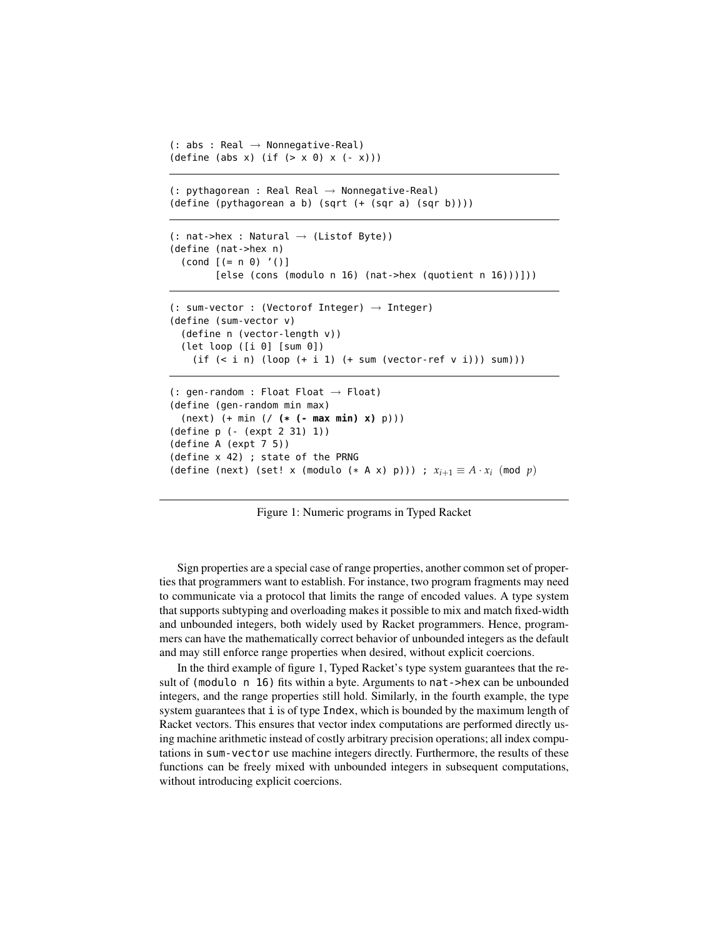```
(: abs : Real \rightarrow Nonnegative-Real)
(define (abs x) (if (> x \theta) x (- x)))
(: pythagorean : Real Real \rightarrow Nonnegative-Real)
(detine (pythagorean a b) (sqrt (+ (sqr a) (sqr b))))(: nat->hex : Natural \rightarrow (Listof Byte))
(define (nat->hex n)
  \text{(cond } [(= n \ 0) '() ][else (cons (modulo n 16) (nat->hex (quotient n 16)))]))
(: sum-vector : (Vectorof Integer) \rightarrow Integer)
(define (sum-vector v)
  (define n (vector-length v))
  (let loop ([i 0] [sum 0])
    (if (< i n) (loop (+ i 1) (+ sum (vector-ref v i))) sum)))(: gen-random : Float Float \rightarrow Float)
(define (gen-random min max)
  (next) (+ min (/ (* (- max min) x) p)))
(define p (- (expt 2 31) 1))
(define A (expt 7 5))
(define x 42) ; state of the PRNG
```
(define (next) (set! x (modulo (\* A x) p))) ;  $x_{i+1} \equiv A \cdot x_i \pmod{p}$ 

Figure 1: Numeric programs in Typed Racket

Sign properties are a special case of range properties, another common set of properties that programmers want to establish. For instance, two program fragments may need to communicate via a protocol that limits the range of encoded values. A type system that supports subtyping and overloading makes it possible to mix and match fixed-width and unbounded integers, both widely used by Racket programmers. Hence, programmers can have the mathematically correct behavior of unbounded integers as the default and may still enforce range properties when desired, without explicit coercions.

In the third example of figure 1, Typed Racket's type system guarantees that the result of (modulo n 16) fits within a byte. Arguments to nat->hex can be unbounded integers, and the range properties still hold. Similarly, in the fourth example, the type system guarantees that i is of type Index, which is bounded by the maximum length of Racket vectors. This ensures that vector index computations are performed directly using machine arithmetic instead of costly arbitrary precision operations; all index computations in sum-vector use machine integers directly. Furthermore, the results of these functions can be freely mixed with unbounded integers in subsequent computations, without introducing explicit coercions.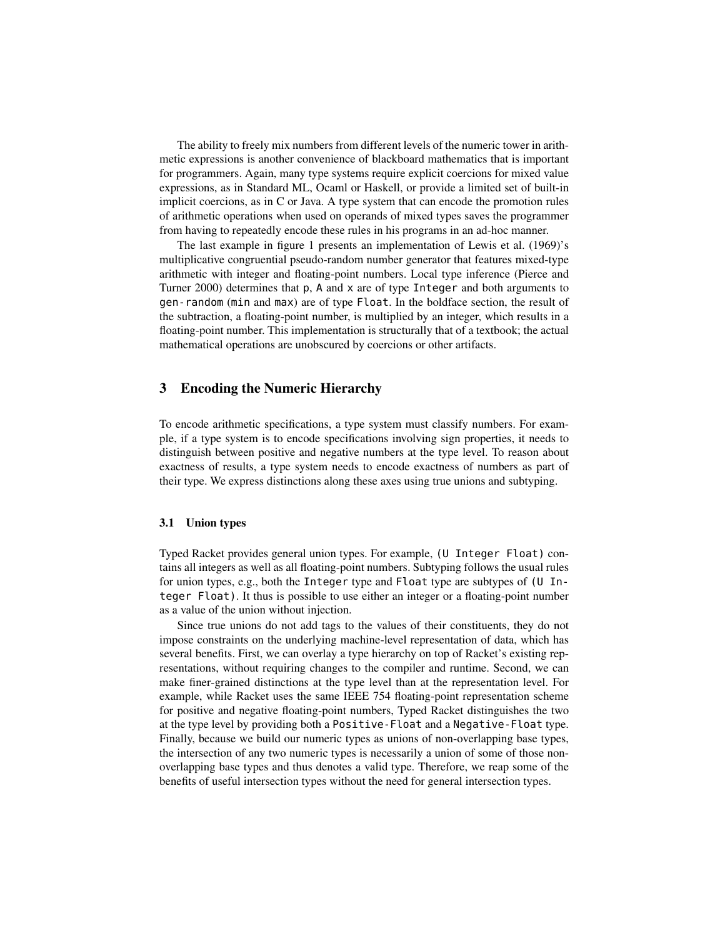The ability to freely mix numbers from different levels of the numeric tower in arithmetic expressions is another convenience of blackboard mathematics that is important for programmers. Again, many type systems require explicit coercions for mixed value expressions, as in Standard ML, Ocaml or Haskell, or provide a limited set of built-in implicit coercions, as in C or Java. A type system that can encode the promotion rules of arithmetic operations when used on operands of mixed types saves the programmer from having to repeatedly encode these rules in his programs in an ad-hoc manner.

The last example in figure 1 presents an implementation of Lewis et al. (1969)'s multiplicative congruential pseudo-random number generator that features mixed-type arithmetic with integer and floating-point numbers. Local type inference (Pierce and Turner 2000) determines that p, A and x are of type Integer and both arguments to gen-random (min and max) are of type Float. In the boldface section, the result of the subtraction, a floating-point number, is multiplied by an integer, which results in a floating-point number. This implementation is structurally that of a textbook; the actual mathematical operations are unobscured by coercions or other artifacts.

## 3 Encoding the Numeric Hierarchy

To encode arithmetic specifications, a type system must classify numbers. For example, if a type system is to encode specifications involving sign properties, it needs to distinguish between positive and negative numbers at the type level. To reason about exactness of results, a type system needs to encode exactness of numbers as part of their type. We express distinctions along these axes using true unions and subtyping.

#### 3.1 Union types

Typed Racket provides general union types. For example, (U Integer Float) contains all integers as well as all floating-point numbers. Subtyping follows the usual rules for union types, e.g., both the Integer type and Float type are subtypes of (U Integer Float). It thus is possible to use either an integer or a floating-point number as a value of the union without injection.

Since true unions do not add tags to the values of their constituents, they do not impose constraints on the underlying machine-level representation of data, which has several benefits. First, we can overlay a type hierarchy on top of Racket's existing representations, without requiring changes to the compiler and runtime. Second, we can make finer-grained distinctions at the type level than at the representation level. For example, while Racket uses the same IEEE 754 floating-point representation scheme for positive and negative floating-point numbers, Typed Racket distinguishes the two at the type level by providing both a Positive-Float and a Negative-Float type. Finally, because we build our numeric types as unions of non-overlapping base types, the intersection of any two numeric types is necessarily a union of some of those nonoverlapping base types and thus denotes a valid type. Therefore, we reap some of the benefits of useful intersection types without the need for general intersection types.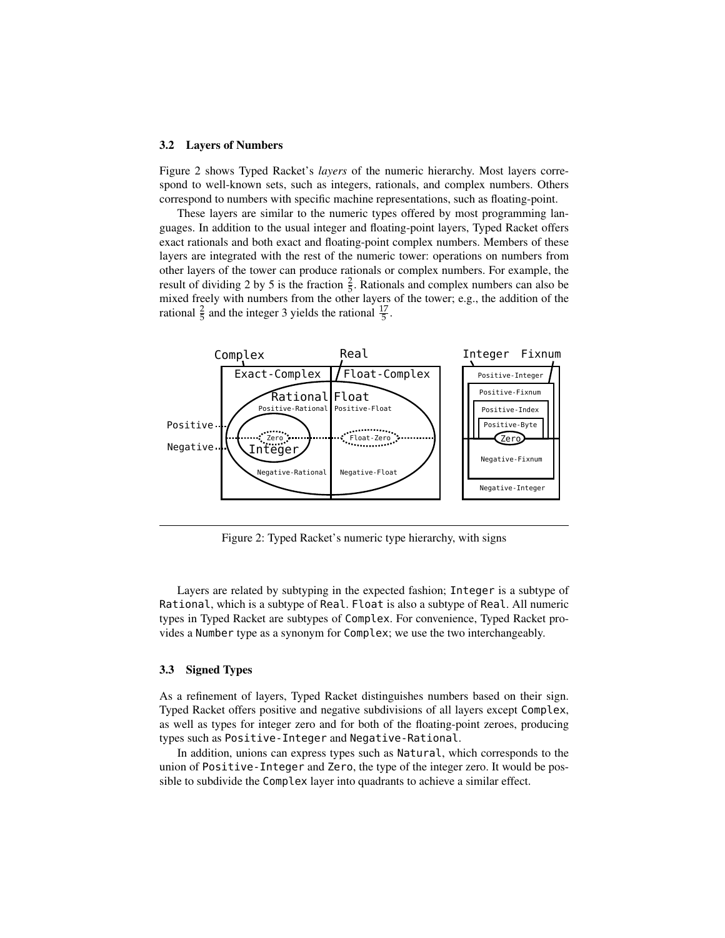#### 3.2 Layers of Numbers

Figure 2 shows Typed Racket's *layers* of the numeric hierarchy. Most layers correspond to well-known sets, such as integers, rationals, and complex numbers. Others correspond to numbers with specific machine representations, such as floating-point.

These layers are similar to the numeric types offered by most programming languages. In addition to the usual integer and floating-point layers, Typed Racket offers exact rationals and both exact and floating-point complex numbers. Members of these layers are integrated with the rest of the numeric tower: operations on numbers from other layers of the tower can produce rationals or complex numbers. For example, the result of dividing 2 by 5 is the fraction  $\frac{2}{5}$ . Rationals and complex numbers can also be mixed freely with numbers from the other layers of the tower; e.g., the addition of the rational  $\frac{2}{5}$  and the integer 3 yields the rational  $\frac{17}{5}$ .



Figure 2: Typed Racket's numeric type hierarchy, with signs

Layers are related by subtyping in the expected fashion; Integer is a subtype of Rational, which is a subtype of Real. Float is also a subtype of Real. All numeric types in Typed Racket are subtypes of Complex. For convenience, Typed Racket provides a Number type as a synonym for Complex; we use the two interchangeably.

#### 3.3 Signed Types

As a refinement of layers, Typed Racket distinguishes numbers based on their sign. Typed Racket offers positive and negative subdivisions of all layers except Complex, as well as types for integer zero and for both of the floating-point zeroes, producing types such as Positive-Integer and Negative-Rational.

In addition, unions can express types such as Natural, which corresponds to the union of Positive-Integer and Zero, the type of the integer zero. It would be possible to subdivide the Complex layer into quadrants to achieve a similar effect.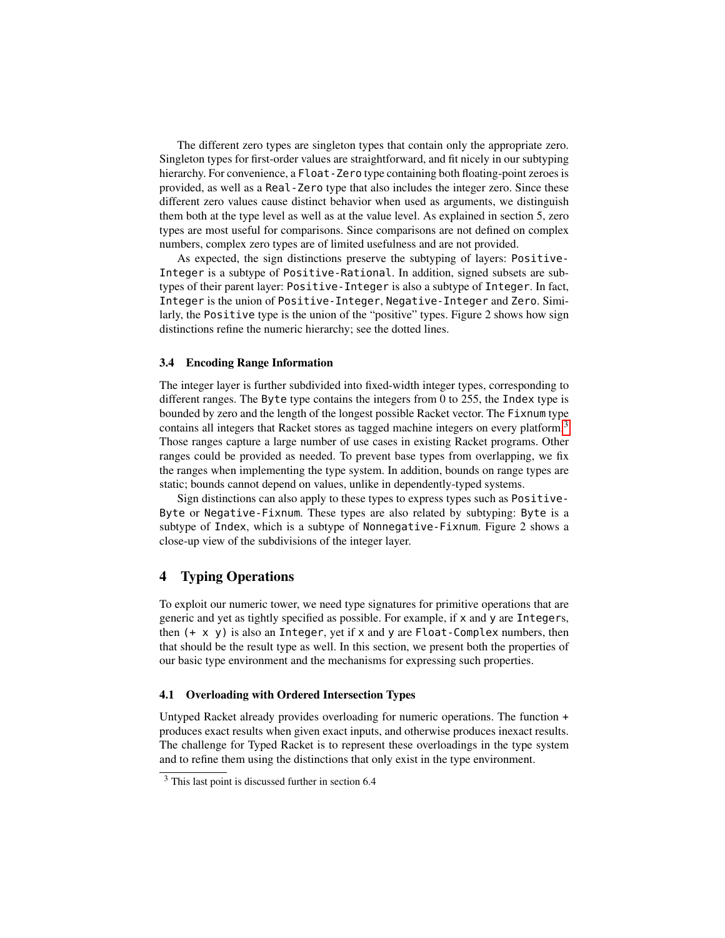The different zero types are singleton types that contain only the appropriate zero. Singleton types for first-order values are straightforward, and fit nicely in our subtyping hierarchy. For convenience, a Float-Zero type containing both floating-point zeroes is provided, as well as a Real-Zero type that also includes the integer zero. Since these different zero values cause distinct behavior when used as arguments, we distinguish them both at the type level as well as at the value level. As explained in section 5, zero types are most useful for comparisons. Since comparisons are not defined on complex numbers, complex zero types are of limited usefulness and are not provided.

As expected, the sign distinctions preserve the subtyping of layers: Positive-Integer is a subtype of Positive-Rational. In addition, signed subsets are subtypes of their parent layer: Positive-Integer is also a subtype of Integer. In fact, Integer is the union of Positive-Integer, Negative-Integer and Zero. Similarly, the Positive type is the union of the "positive" types. Figure 2 shows how sign distinctions refine the numeric hierarchy; see the dotted lines.

#### 3.4 Encoding Range Information

The integer layer is further subdivided into fixed-width integer types, corresponding to different ranges. The Byte type contains the integers from 0 to 255, the Index type is bounded by zero and the length of the longest possible Racket vector. The Fixnum type contains all integers that Racket stores as tagged machine integers on every platform.<sup>[3](#page-5-0)</sup> Those ranges capture a large number of use cases in existing Racket programs. Other ranges could be provided as needed. To prevent base types from overlapping, we fix the ranges when implementing the type system. In addition, bounds on range types are static; bounds cannot depend on values, unlike in dependently-typed systems.

Sign distinctions can also apply to these types to express types such as Positive-Byte or Negative-Fixnum. These types are also related by subtyping: Byte is a subtype of Index, which is a subtype of Nonnegative-Fixnum. Figure 2 shows a close-up view of the subdivisions of the integer layer.

## 4 Typing Operations

To exploit our numeric tower, we need type signatures for primitive operations that are generic and yet as tightly specified as possible. For example, if x and y are Integers, then  $(+ x y)$  is also an Integer, yet if x and y are Float-Complex numbers, then that should be the result type as well. In this section, we present both the properties of our basic type environment and the mechanisms for expressing such properties.

#### 4.1 Overloading with Ordered Intersection Types

Untyped Racket already provides overloading for numeric operations. The function + produces exact results when given exact inputs, and otherwise produces inexact results. The challenge for Typed Racket is to represent these overloadings in the type system and to refine them using the distinctions that only exist in the type environment.

<span id="page-5-0"></span><sup>3</sup> This last point is discussed further in section 6.4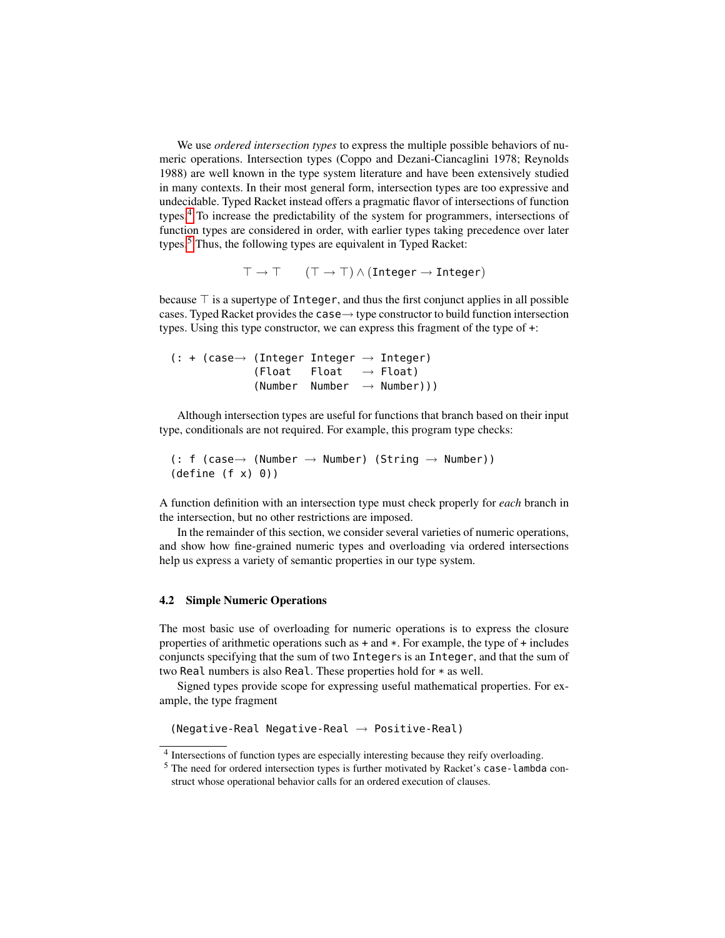We use *ordered intersection types* to express the multiple possible behaviors of numeric operations. Intersection types (Coppo and Dezani-Ciancaglini 1978; Reynolds 1988) are well known in the type system literature and have been extensively studied in many contexts. In their most general form, intersection types are too expressive and undecidable. Typed Racket instead offers a pragmatic flavor of intersections of function types.[4](#page-6-0) To increase the predictability of the system for programmers, intersections of function types are considered in order, with earlier types taking precedence over later types.[5](#page-6-1) Thus, the following types are equivalent in Typed Racket:

 $\top \rightarrow \top$   $(\top \rightarrow \top) \wedge (\text{Integer} \rightarrow \text{Integer})$ 

because  $\top$  is a supertype of Integer, and thus the first conjunct applies in all possible cases. Typed Racket provides the case $\rightarrow$  type constructor to build function intersection types. Using this type constructor, we can express this fragment of the type of +:

```
(: + (case \rightarrow (Integer Integer \rightarrow Integer))(Float Float \rightarrow Float)
                (Number \rightarrow Number))
```
Although intersection types are useful for functions that branch based on their input type, conditionals are not required. For example, this program type checks:

```
(: f (case\rightarrow (Number \rightarrow Number) (String \rightarrow Number))
(detine (f x) 0))
```
A function definition with an intersection type must check properly for *each* branch in the intersection, but no other restrictions are imposed.

In the remainder of this section, we consider several varieties of numeric operations, and show how fine-grained numeric types and overloading via ordered intersections help us express a variety of semantic properties in our type system.

#### 4.2 Simple Numeric Operations

The most basic use of overloading for numeric operations is to express the closure properties of arithmetic operations such as + and \*. For example, the type of + includes conjuncts specifying that the sum of two Integers is an Integer, and that the sum of two Real numbers is also Real. These properties hold for \* as well.

Signed types provide scope for expressing useful mathematical properties. For example, the type fragment

(Negative-Real Negative-Real  $\rightarrow$  Positive-Real)

<span id="page-6-0"></span><sup>&</sup>lt;sup>4</sup> Intersections of function types are especially interesting because they reify overloading.

<span id="page-6-1"></span><sup>5</sup> The need for ordered intersection types is further motivated by Racket's case-lambda construct whose operational behavior calls for an ordered execution of clauses.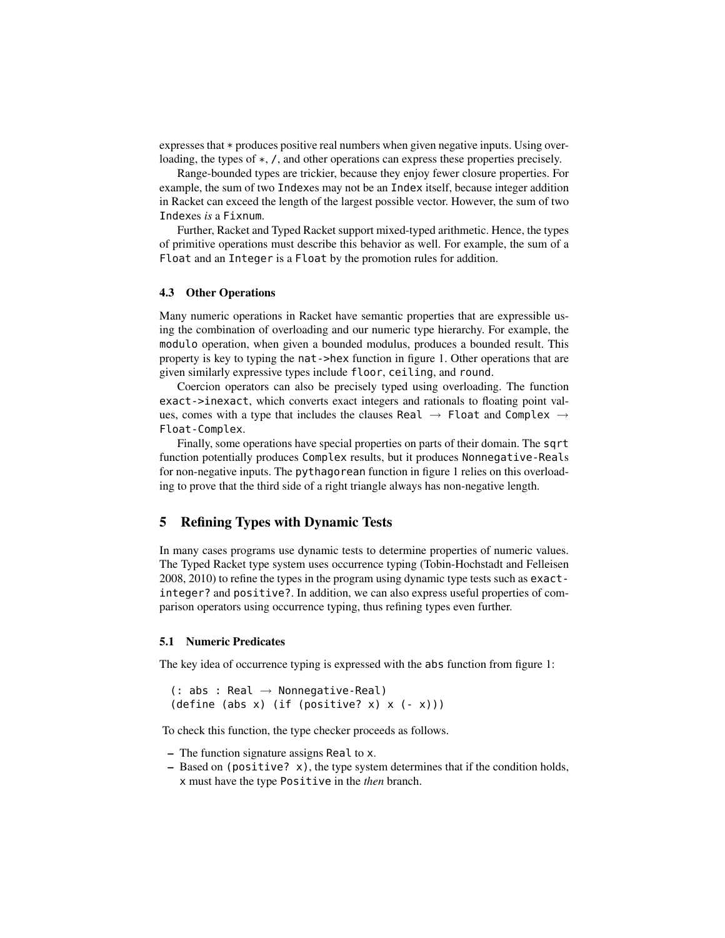expresses that \* produces positive real numbers when given negative inputs. Using overloading, the types of \*, /, and other operations can express these properties precisely.

Range-bounded types are trickier, because they enjoy fewer closure properties. For example, the sum of two Indexes may not be an Index itself, because integer addition in Racket can exceed the length of the largest possible vector. However, the sum of two Indexes *is* a Fixnum.

Further, Racket and Typed Racket support mixed-typed arithmetic. Hence, the types of primitive operations must describe this behavior as well. For example, the sum of a Float and an Integer is a Float by the promotion rules for addition.

#### 4.3 Other Operations

Many numeric operations in Racket have semantic properties that are expressible using the combination of overloading and our numeric type hierarchy. For example, the modulo operation, when given a bounded modulus, produces a bounded result. This property is key to typing the nat->hex function in figure 1. Other operations that are given similarly expressive types include floor, ceiling, and round.

Coercion operators can also be precisely typed using overloading. The function exact->inexact, which converts exact integers and rationals to floating point values, comes with a type that includes the clauses Real  $\rightarrow$  Float and Complex  $\rightarrow$ Float-Complex.

Finally, some operations have special properties on parts of their domain. The sqrt function potentially produces Complex results, but it produces Nonnegative-Reals for non-negative inputs. The pythagorean function in figure 1 relies on this overloading to prove that the third side of a right triangle always has non-negative length.

### 5 Refining Types with Dynamic Tests

In many cases programs use dynamic tests to determine properties of numeric values. The Typed Racket type system uses occurrence typing (Tobin-Hochstadt and Felleisen 2008, 2010) to refine the types in the program using dynamic type tests such as exactinteger? and positive?. In addition, we can also express useful properties of comparison operators using occurrence typing, thus refining types even further.

#### 5.1 Numeric Predicates

The key idea of occurrence typing is expressed with the abs function from figure 1:

(: abs : Real  $\rightarrow$  Nonnegative-Real) (define (abs  $x$ ) (if (positive?  $x$ )  $x$  (-  $x$ )))

To check this function, the type checker proceeds as follows.

- The function signature assigns Real to x.
- $-$  Based on (positive?  $x$ ), the type system determines that if the condition holds, x must have the type Positive in the *then* branch.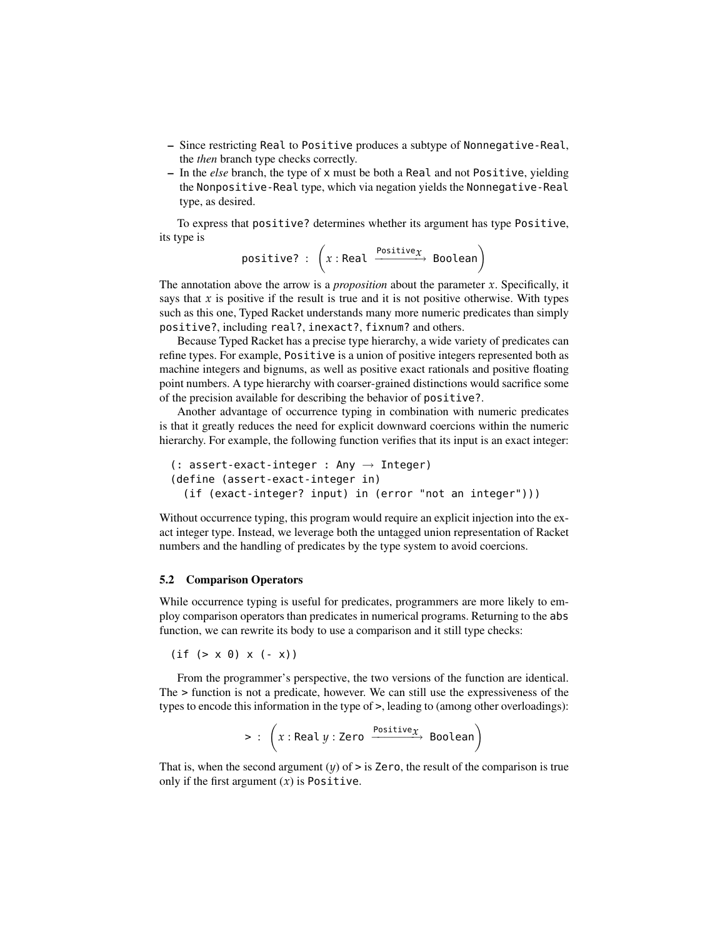- Since restricting Real to Positive produces a subtype of Nonnegative-Real, the *then* branch type checks correctly.
- In the *else* branch, the type of x must be both a Real and not Positive, yielding the Nonpositive-Real type, which via negation yields the Nonnegative-Real type, as desired.

To express that positive? determines whether its argument has type Positive, its type is

$$
\textit{positive?}: \left(x:\textit{Real } \xrightarrow{\textit{Positive}x} \textit{Boolean}\right)
$$

The annotation above the arrow is a *proposition* about the parameter *x*. Specifically, it says that  $x$  is positive if the result is true and it is not positive otherwise. With types such as this one, Typed Racket understands many more numeric predicates than simply positive?, including real?, inexact?, fixnum? and others.

Because Typed Racket has a precise type hierarchy, a wide variety of predicates can refine types. For example, Positive is a union of positive integers represented both as machine integers and bignums, as well as positive exact rationals and positive floating point numbers. A type hierarchy with coarser-grained distinctions would sacrifice some of the precision available for describing the behavior of positive?.

Another advantage of occurrence typing in combination with numeric predicates is that it greatly reduces the need for explicit downward coercions within the numeric hierarchy. For example, the following function verifies that its input is an exact integer:

```
(: assert-exact-integer : Any \rightarrow Integer)
(define (assert-exact-integer in)
  (if (exact-integer? input) in (error "not an integer")))
```
Without occurrence typing, this program would require an explicit injection into the exact integer type. Instead, we leverage both the untagged union representation of Racket numbers and the handling of predicates by the type system to avoid coercions.

#### 5.2 Comparison Operators

While occurrence typing is useful for predicates, programmers are more likely to employ comparison operators than predicates in numerical programs. Returning to the abs function, we can rewrite its body to use a comparison and it still type checks:

$$
(if (> x \ 0) \ x \ (-x))
$$

From the programmer's perspective, the two versions of the function are identical. The > function is not a predicate, however. We can still use the expressiveness of the types to encode this information in the type of >, leading to (among other overloadings):

$$
> : \left(x : \text{Real } y : \text{Zero } \xrightarrow{\text{Positive} \chi} \text{Boolean}\right)
$$

That is, when the second argument  $(y)$  of  $\geq$  is Zero, the result of the comparison is true only if the first argument  $(x)$  is Positive.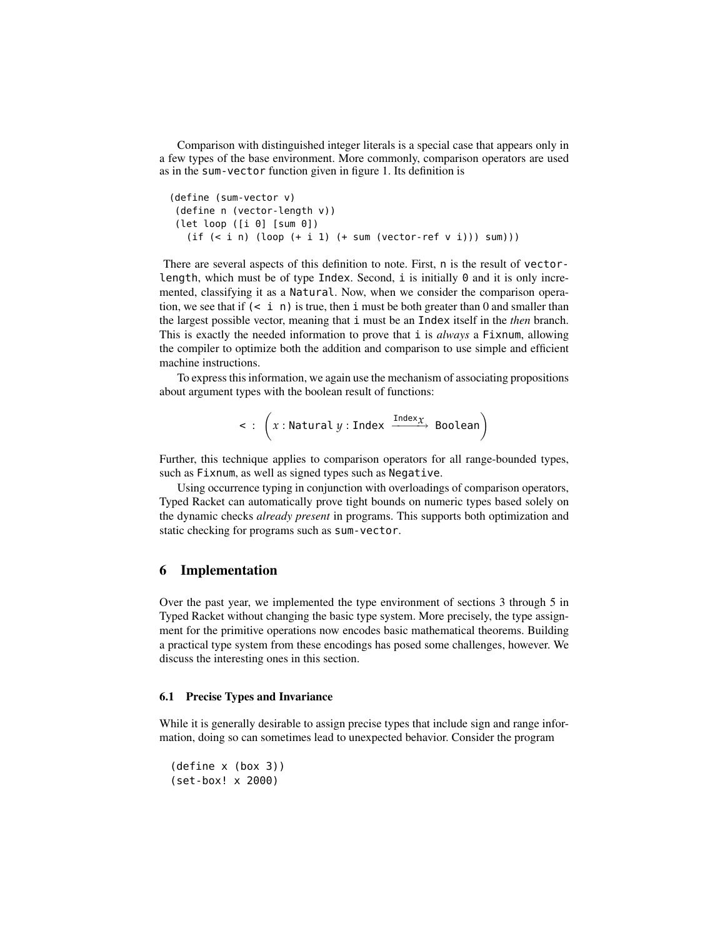Comparison with distinguished integer literals is a special case that appears only in a few types of the base environment. More commonly, comparison operators are used as in the sum-vector function given in figure 1. Its definition is

```
(define (sum-vector v)
(define n (vector-length v))
(let loop ([i 0] [sum 0])
   (if (< i n) (loop (+ i 1) (+ sum (vector-ref v i))) sum)))
```
There are several aspects of this definition to note. First, n is the result of vectorlength, which must be of type Index. Second,  $\mathbf{i}$  is initially 0 and it is only incremented, classifying it as a Natural. Now, when we consider the comparison operation, we see that if  $(< i n)$  is true, then i must be both greater than 0 and smaller than the largest possible vector, meaning that i must be an Index itself in the *then* branch. This is exactly the needed information to prove that i is *always* a Fixnum, allowing the compiler to optimize both the addition and comparison to use simple and efficient machine instructions.

To express this information, we again use the mechanism of associating propositions about argument types with the boolean result of functions:

$$
\lt: \left(x : \texttt{Natural } y : \texttt{Index} \xrightarrow{\texttt{Index}} \texttt{Boolean}\right)
$$

Further, this technique applies to comparison operators for all range-bounded types, such as Fixnum, as well as signed types such as Negative.

Using occurrence typing in conjunction with overloadings of comparison operators, Typed Racket can automatically prove tight bounds on numeric types based solely on the dynamic checks *already present* in programs. This supports both optimization and static checking for programs such as sum-vector.

## 6 Implementation

Over the past year, we implemented the type environment of sections 3 through 5 in Typed Racket without changing the basic type system. More precisely, the type assignment for the primitive operations now encodes basic mathematical theorems. Building a practical type system from these encodings has posed some challenges, however. We discuss the interesting ones in this section.

#### 6.1 Precise Types and Invariance

While it is generally desirable to assign precise types that include sign and range information, doing so can sometimes lead to unexpected behavior. Consider the program

(define x (box 3)) (set-box! x 2000)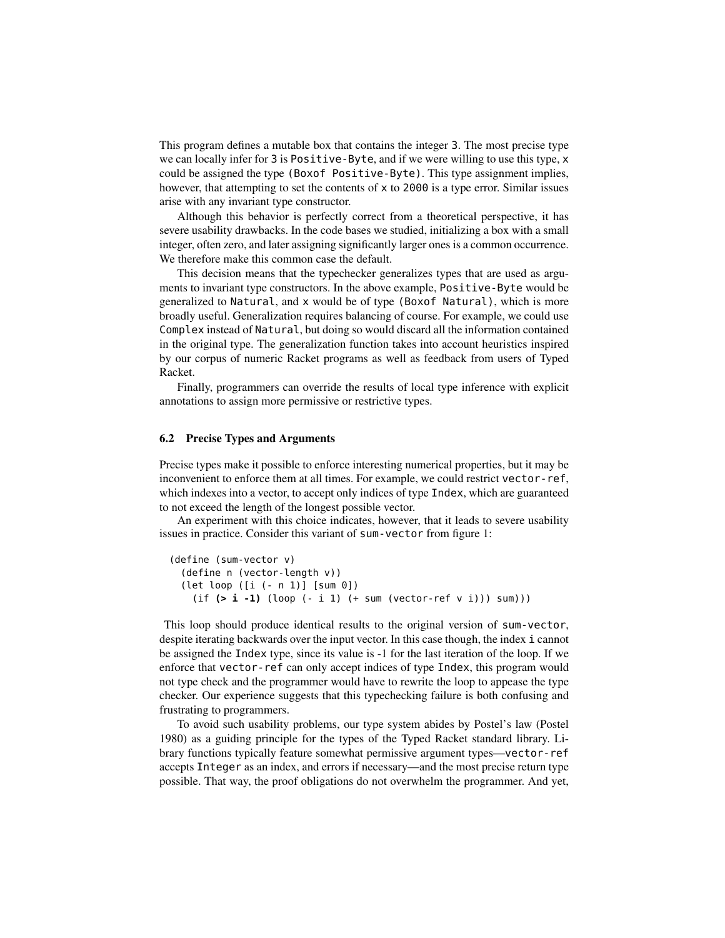This program defines a mutable box that contains the integer 3. The most precise type we can locally infer for 3 is Positive-Byte, and if we were willing to use this type, x could be assigned the type (Boxof Positive-Byte). This type assignment implies, however, that attempting to set the contents of x to 2000 is a type error. Similar issues arise with any invariant type constructor.

Although this behavior is perfectly correct from a theoretical perspective, it has severe usability drawbacks. In the code bases we studied, initializing a box with a small integer, often zero, and later assigning significantly larger ones is a common occurrence. We therefore make this common case the default.

This decision means that the typechecker generalizes types that are used as arguments to invariant type constructors. In the above example, Positive-Byte would be generalized to Natural, and x would be of type (Boxof Natural), which is more broadly useful. Generalization requires balancing of course. For example, we could use Complex instead of Natural, but doing so would discard all the information contained in the original type. The generalization function takes into account heuristics inspired by our corpus of numeric Racket programs as well as feedback from users of Typed Racket.

Finally, programmers can override the results of local type inference with explicit annotations to assign more permissive or restrictive types.

#### 6.2 Precise Types and Arguments

Precise types make it possible to enforce interesting numerical properties, but it may be inconvenient to enforce them at all times. For example, we could restrict vector-ref, which indexes into a vector, to accept only indices of type Index, which are guaranteed to not exceed the length of the longest possible vector.

An experiment with this choice indicates, however, that it leads to severe usability issues in practice. Consider this variant of sum-vector from figure 1:

```
(define (sum-vector v)
  (define n (vector-length v))
  (let loop ([i (- n 1)] [sum 0])
    (if (> i -1) (loop (- i 1) (+ sum (vector-ref v i))) sum)))
```
This loop should produce identical results to the original version of sum-vector, despite iterating backwards over the input vector. In this case though, the index i cannot be assigned the Index type, since its value is -1 for the last iteration of the loop. If we enforce that vector-ref can only accept indices of type Index, this program would not type check and the programmer would have to rewrite the loop to appease the type checker. Our experience suggests that this typechecking failure is both confusing and frustrating to programmers.

To avoid such usability problems, our type system abides by Postel's law (Postel 1980) as a guiding principle for the types of the Typed Racket standard library. Library functions typically feature somewhat permissive argument types—vector-ref accepts Integer as an index, and errors if necessary—and the most precise return type possible. That way, the proof obligations do not overwhelm the programmer. And yet,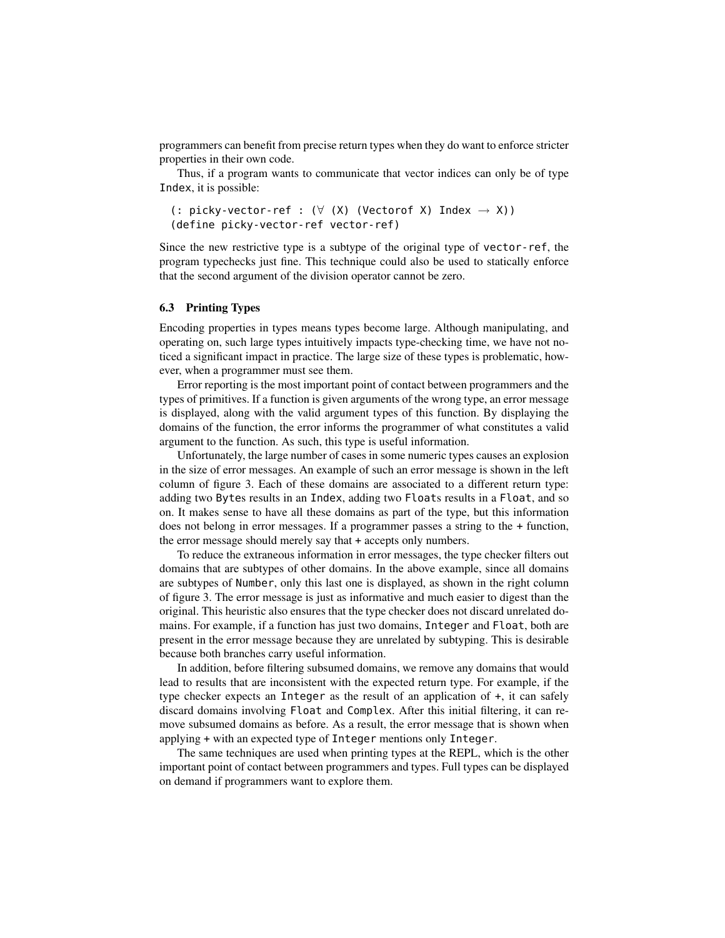programmers can benefit from precise return types when they do want to enforce stricter properties in their own code.

Thus, if a program wants to communicate that vector indices can only be of type Index, it is possible:

```
(: picky-vector-ref : (\forall (X) (Vectorof X) Index \rightarrow X))
(define picky-vector-ref vector-ref)
```
Since the new restrictive type is a subtype of the original type of vector-ref, the program typechecks just fine. This technique could also be used to statically enforce that the second argument of the division operator cannot be zero.

#### 6.3 Printing Types

Encoding properties in types means types become large. Although manipulating, and operating on, such large types intuitively impacts type-checking time, we have not noticed a significant impact in practice. The large size of these types is problematic, however, when a programmer must see them.

Error reporting is the most important point of contact between programmers and the types of primitives. If a function is given arguments of the wrong type, an error message is displayed, along with the valid argument types of this function. By displaying the domains of the function, the error informs the programmer of what constitutes a valid argument to the function. As such, this type is useful information.

Unfortunately, the large number of cases in some numeric types causes an explosion in the size of error messages. An example of such an error message is shown in the left column of figure 3. Each of these domains are associated to a different return type: adding two Bytes results in an Index, adding two Floats results in a Float, and so on. It makes sense to have all these domains as part of the type, but this information does not belong in error messages. If a programmer passes a string to the + function, the error message should merely say that + accepts only numbers.

To reduce the extraneous information in error messages, the type checker filters out domains that are subtypes of other domains. In the above example, since all domains are subtypes of Number, only this last one is displayed, as shown in the right column of figure 3. The error message is just as informative and much easier to digest than the original. This heuristic also ensures that the type checker does not discard unrelated domains. For example, if a function has just two domains, Integer and Float, both are present in the error message because they are unrelated by subtyping. This is desirable because both branches carry useful information.

In addition, before filtering subsumed domains, we remove any domains that would lead to results that are inconsistent with the expected return type. For example, if the type checker expects an Integer as the result of an application of +, it can safely discard domains involving Float and Complex. After this initial filtering, it can remove subsumed domains as before. As a result, the error message that is shown when applying + with an expected type of Integer mentions only Integer.

The same techniques are used when printing types at the REPL, which is the other important point of contact between programmers and types. Full types can be displayed on demand if programmers want to explore them.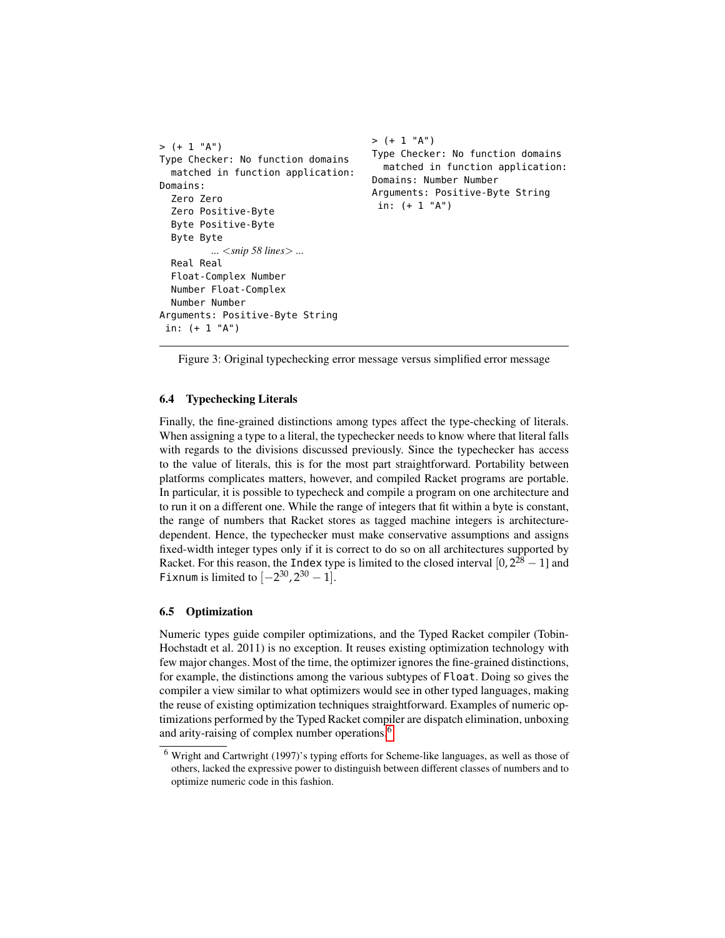```
> (+ 1 "A")Type Checker: No function domains
 matched in function application:
Domains:
 Zero Zero
 Zero Positive-Byte
 Byte Positive-Byte
 Byte Byte
         ... <snip 58 lines> ...
 Real Real
 Float-Complex Number
 Number Float-Complex
 Number Number
Arguments: Positive-Byte String
in: (+ 1 "A")
                                      > (+ 1 "A")Type Checker: No function domains
                                        matched in function application:
                                      Domains: Number Number
                                      Arguments: Positive-Byte String
                                       in: (+ 1 "A")
```
Figure 3: Original typechecking error message versus simplified error message

#### 6.4 Typechecking Literals

Finally, the fine-grained distinctions among types affect the type-checking of literals. When assigning a type to a literal, the typechecker needs to know where that literal falls with regards to the divisions discussed previously. Since the typechecker has access to the value of literals, this is for the most part straightforward. Portability between platforms complicates matters, however, and compiled Racket programs are portable. In particular, it is possible to typecheck and compile a program on one architecture and to run it on a different one. While the range of integers that fit within a byte is constant, the range of numbers that Racket stores as tagged machine integers is architecturedependent. Hence, the typechecker must make conservative assumptions and assigns fixed-width integer types only if it is correct to do so on all architectures supported by Racket. For this reason, the Index type is limited to the closed interval [0,  $2^{28} - 1$ ] and Fixnum is limited to  $[-2^{30}, 2^{30} - 1]$ .

#### 6.5 Optimization

Numeric types guide compiler optimizations, and the Typed Racket compiler (Tobin-Hochstadt et al. 2011) is no exception. It reuses existing optimization technology with few major changes. Most of the time, the optimizer ignores the fine-grained distinctions, for example, the distinctions among the various subtypes of Float. Doing so gives the compiler a view similar to what optimizers would see in other typed languages, making the reuse of existing optimization techniques straightforward. Examples of numeric optimizations performed by the Typed Racket compiler are dispatch elimination, unboxing and arity-raising of complex number operations.<sup>[6](#page-12-0)</sup>

<span id="page-12-0"></span><sup>6</sup> Wright and Cartwright (1997)'s typing efforts for Scheme-like languages, as well as those of others, lacked the expressive power to distinguish between different classes of numbers and to optimize numeric code in this fashion.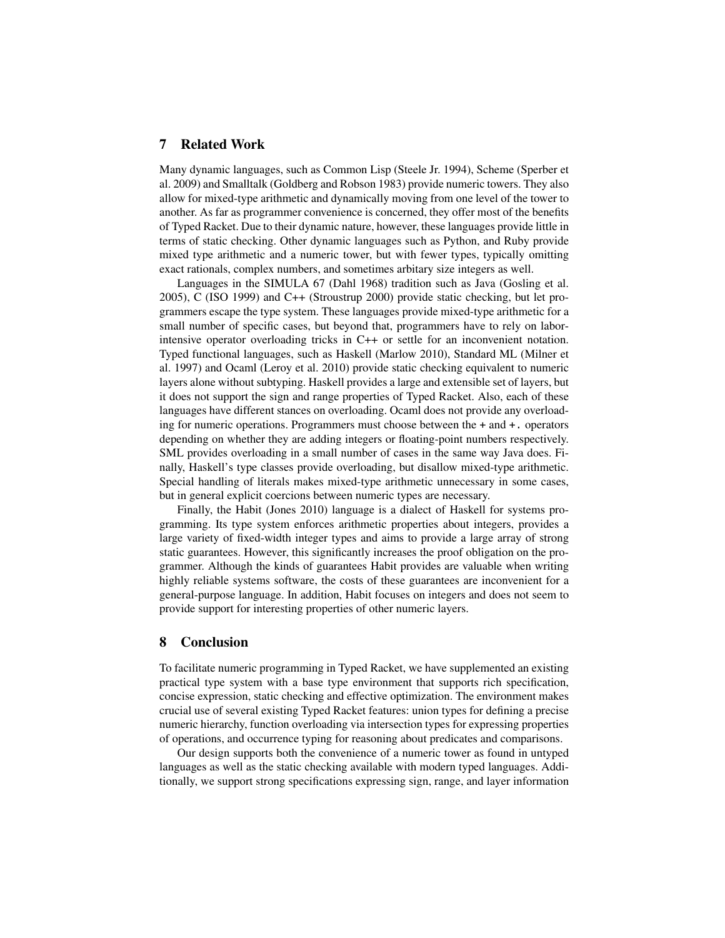## 7 Related Work

Many dynamic languages, such as Common Lisp (Steele Jr. 1994), Scheme (Sperber et al. 2009) and Smalltalk (Goldberg and Robson 1983) provide numeric towers. They also allow for mixed-type arithmetic and dynamically moving from one level of the tower to another. As far as programmer convenience is concerned, they offer most of the benefits of Typed Racket. Due to their dynamic nature, however, these languages provide little in terms of static checking. Other dynamic languages such as Python, and Ruby provide mixed type arithmetic and a numeric tower, but with fewer types, typically omitting exact rationals, complex numbers, and sometimes arbitary size integers as well.

Languages in the SIMULA 67 (Dahl 1968) tradition such as Java (Gosling et al. 2005), C (ISO 1999) and C++ (Stroustrup 2000) provide static checking, but let programmers escape the type system. These languages provide mixed-type arithmetic for a small number of specific cases, but beyond that, programmers have to rely on laborintensive operator overloading tricks in C++ or settle for an inconvenient notation. Typed functional languages, such as Haskell (Marlow 2010), Standard ML (Milner et al. 1997) and Ocaml (Leroy et al. 2010) provide static checking equivalent to numeric layers alone without subtyping. Haskell provides a large and extensible set of layers, but it does not support the sign and range properties of Typed Racket. Also, each of these languages have different stances on overloading. Ocaml does not provide any overloading for numeric operations. Programmers must choose between the + and +. operators depending on whether they are adding integers or floating-point numbers respectively. SML provides overloading in a small number of cases in the same way Java does. Finally, Haskell's type classes provide overloading, but disallow mixed-type arithmetic. Special handling of literals makes mixed-type arithmetic unnecessary in some cases, but in general explicit coercions between numeric types are necessary.

Finally, the Habit (Jones 2010) language is a dialect of Haskell for systems programming. Its type system enforces arithmetic properties about integers, provides a large variety of fixed-width integer types and aims to provide a large array of strong static guarantees. However, this significantly increases the proof obligation on the programmer. Although the kinds of guarantees Habit provides are valuable when writing highly reliable systems software, the costs of these guarantees are inconvenient for a general-purpose language. In addition, Habit focuses on integers and does not seem to provide support for interesting properties of other numeric layers.

## 8 Conclusion

To facilitate numeric programming in Typed Racket, we have supplemented an existing practical type system with a base type environment that supports rich specification, concise expression, static checking and effective optimization. The environment makes crucial use of several existing Typed Racket features: union types for defining a precise numeric hierarchy, function overloading via intersection types for expressing properties of operations, and occurrence typing for reasoning about predicates and comparisons.

Our design supports both the convenience of a numeric tower as found in untyped languages as well as the static checking available with modern typed languages. Additionally, we support strong specifications expressing sign, range, and layer information